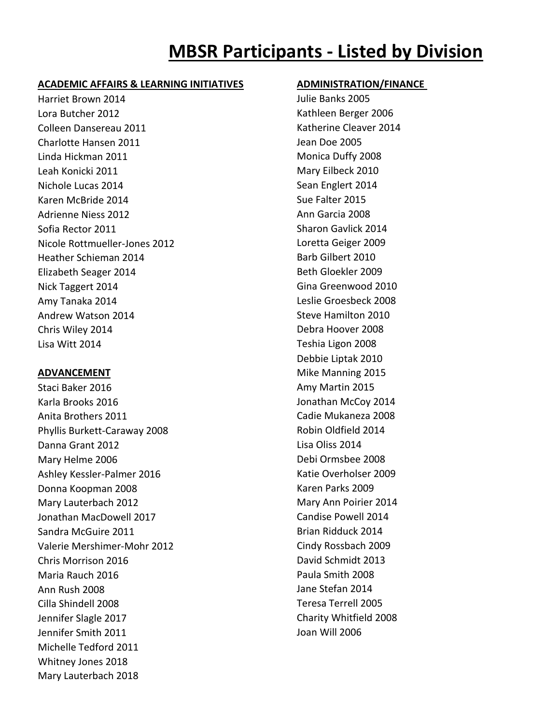# **MBSR Participants - Listed by Division**

### **ACADEMIC AFFAIRS & LEARNING INITIATIVES ADMINISTRATION/FINANCE**

Harriet Brown 2014 Julie Banks 2005 Lora Butcher 2012 Kathleen Berger 2006 Colleen Dansereau 2011 Matherine Cleaver 2014 Charlotte Hansen 2011 Jean Doe 2005 Linda Hickman 2011 **Monica Duffy 2008** Leah Konicki 2011 Mary Eilbeck 2010 Nichole Lucas 2014 **Sean Englert 2014** Sean Englert 2014 Karen McBride 2014 November 2015 Adrienne Niess 2012 **Annual Adrienne Niess 2012** Annual Annual Annual Annual Annual Annual Annual Annual Annual A Sofia Rector 2011 **Sharon Gavlick 2014** Sharon Gavlick 2014 Nicole Rottmueller-Jones 2012 Loretta Geiger 2009 Heather Schieman 2014 **Barb Gilbert 2010** Elizabeth Seager 2014 **Beth Gloekler 2009** Nick Taggert 2014 **Gina Greenwood 2010** Amy Tanaka 2014 Leslie Groesbeck 2008 Andrew Watson 2014 **Steve Hamilton 2010** Steve Hamilton 2010 Chris Wiley 2014 Debra Hoover 2008 Lisa Witt 2014 Teshia Ligon 2008

Staci Baker 2016 **Amy Martin 2015** Amy Martin 2015 Karla Brooks 2016 **Varia Brooks 2016** Jonathan McCoy 2014 Anita Brothers 2011 Cadie Mukaneza 2008 Phyllis Burkett-Caraway 2008 Robin Oldfield 2014 Danna Grant 2012 Lisa Oliss 2014 Mary Helme 2006 **Debi Ormsbee 2008** Ashley Kessler-Palmer 2016 Katie Overholser 2009 Donna Koopman 2008 Karen Parks 2009 Mary Lauterbach 2012 Mary Ann Poirier 2014 Jonathan MacDowell 2017 **Candise Powell 2014** Sandra McGuire 2011 **Brian Ridduck 2014** Brian Ridduck 2014 Valerie Mershimer-Mohr 2012 Cindy Rossbach 2009 Chris Morrison 2016 David Schmidt 2013 Maria Rauch 2016 **Paula Smith 2008** Ann Rush 2008 Jane Stefan 2014 Cilla Shindell 2008 Teresa Terrell 2005 Jennifer Slagle 2017 Charity Whitfield 2008 Jennifer Smith 2011 Joan Will 2006 Michelle Tedford 2011 Whitney Jones 2018 Mary Lauterbach 2018

Debbie Liptak 2010 **ADVANCEMENT** Mike Manning 2015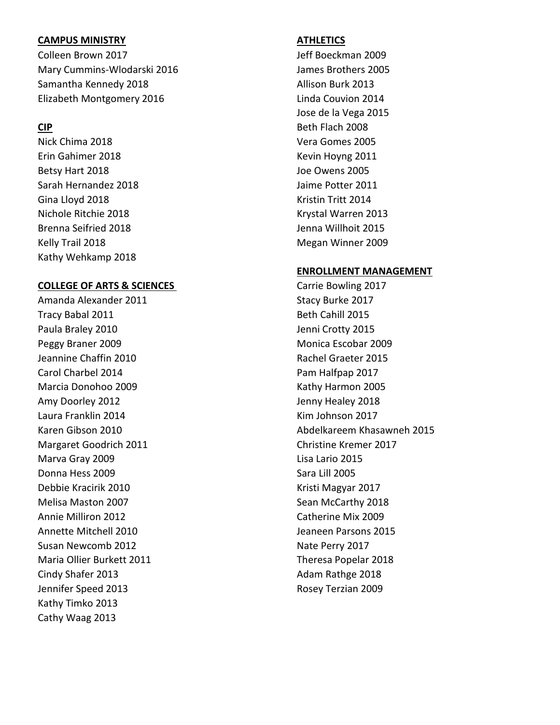# **CAMPUS MINISTRY ATHLETICS**

Colleen Brown 2017 **Collem Brown 2017 Jeff Boeckman 2009** Mary Cummins-Wlodarski 2016 **James Brothers 2005** Samantha Kennedy 2018 **Allison Burk 2013** Elizabeth Montgomery 2016 **Linda Couvion 2014** 

Nick Chima 2018 Vera Gomes 2005 Erin Gahimer 2018 **Kevin Hoyng 2011** Betsy Hart 2018 **Detection Control** Betsy Hart 2018 Sarah Hernandez 2018 Jaime Potter 2011 Gina Lloyd 2018 **Kristin Tritt** 2014 Nichole Ritchie 2018 Krystal Warren 2013 Brenna Seifried 2018 **Details and Seifried 2018** Jenna Willhoit 2015 Kelly Trail 2018 Megan Winner 2009 Kathy Wehkamp 2018

### **COLLEGE OF ARTS & SCIENCES** Carrie Bowling 2017

Amanda Alexander 2011 **Stacy Burke 2017** Stacy Burke 2017 Tracy Babal 2011 **Beth Cahill 2015** Paula Braley 2010 **Denote Accord Paula Branch Paula Braley 2015** Peggy Braner 2009 Monica Escobar 2009 Jeannine Chaffin 2010 **Rachel Graeter 2015** Carol Charbel 2014 **Pam Halfpap 2017** Marcia Donohoo 2009 Kathy Harmon 2005 Amy Doorley 2012 **Jenny Healey 2018** Laura Franklin 2014 **Kim Johnson 2017** Margaret Goodrich 2011 Christine Kremer 2017 Marva Gray 2009 Lisa Lario 2015 Donna Hess 2009 Sara Lill 2005 Debbie Kracirik 2010 Kristi Magyar 2017 Melisa Maston 2007 Nelisa McCarthy 2018 Annie Milliron 2012 Catherine Mix 2009 Annette Mitchell 2010 Jeaneen Parsons 2015 Susan Newcomb 2012 and the US and the Perry 2017 Maria Ollier Burkett 2011 Theresa Popelar 2018 Cindy Shafer 2013 **Adam Rathge 2018** Adam Rathge 2018 Jennifer Speed 2013 **Rosey Terzian 2009** Kathy Timko 2013 Cathy Waag 2013

Jose de la Vega 2015 **CIP** Beth Flach 2008

# **ENROLLMENT MANAGEMENT**

Karen Gibson 2010 Abdelkareem Khasawneh 2015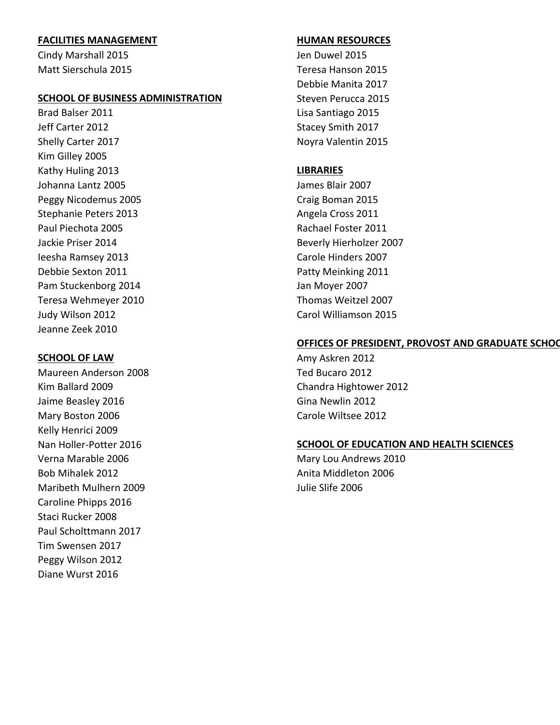# **FACILITIES MANAGEMENT HUMAN RESOURCES**

Cindy Marshall 2015 **Jen Duwel 2015** Matt Sierschula 2015 Teresa Hanson 2015

### **SCHOOL OF BUSINESS ADMINISTRATION** Steven Perucca 2015

Brad Balser 2011 **Details and Santiago 2015** Lisa Santiago 2015 Jeff Carter 2012 **Stacey Smith 2017** Shelly Carter 2017 Noyra Valentin 2015 Kim Gilley 2005 Kathy Huling 2013 **LIBRARIES** Johanna Lantz 2005 James Blair 2007 Peggy Nicodemus 2005 Craig Boman 2015 Stephanie Peters 2013 **Angela Cross 2011** Angela Cross 2011 Paul Piechota 2005 **Rachael Foster 2011** Rachael Foster 2011 Jackie Priser 2014 Beverly Hierholzer 2007 Ieesha Ramsey 2013 Carole Hinders 2007 Debbie Sexton 2011 **Debbie Sexton 2011** Patty Meinking 2011 Pam Stuckenborg 2014 **Jan Moyer 2007** Teresa Wehmeyer 2010 Thomas Weitzel 2007 Judy Wilson 2012 Carol Williamson 2015 Jeanne Zeek 2010

Maureen Anderson 2008 Ted Bucaro 2012 Kim Ballard 2009 Chandra Hightower 2012 Jaime Beasley 2016 Gina Newlin 2012 Mary Boston 2006 Carole Wiltsee 2012 Kelly Henrici 2009 Verna Marable 2006 Mary Lou Andrews 2010 Bob Mihalek 2012 **Anita Middleton 2006** Anita Middleton 2006 Maribeth Mulhern 2009 **Maribeth Mulhern 2009** Julie Slife 2006 Caroline Phipps 2016 Staci Rucker 2008 Paul Scholttmann 2017 Tim Swensen 2017 Peggy Wilson 2012 Diane Wurst 2016

Debbie Manita 2017

### **OFFICES OF PRESIDENT, PROVOST AND GRADUATE SCHOO**

**SCHOOL OF LAW** Amy Askren 2012

### Nan Holler-Potter 2016 **SCHOOL OF EDUCATION AND HEALTH SCIENCES**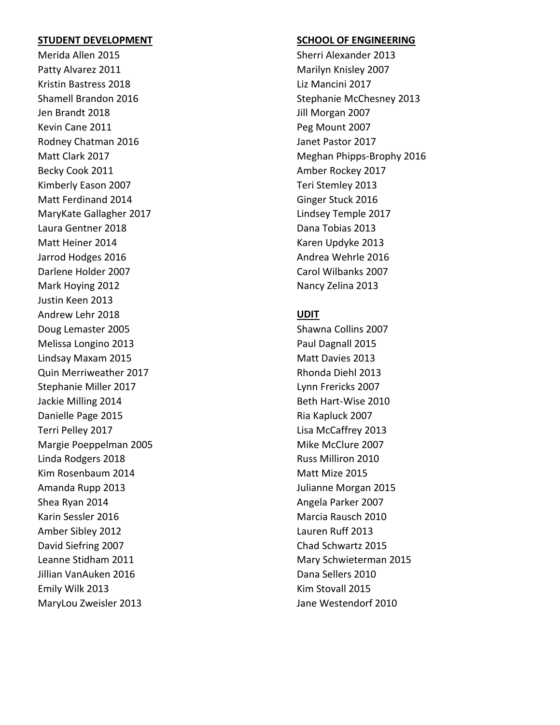Merida Allen 2015 Sherri Alexander 2013 Patty Alvarez 2011 Marilyn Knisley 2007 Kristin Bastress 2018 Liz Mancini 2017 Jen Brandt 2018 Jill Morgan 2007 Kevin Cane 2011 **Peg Mount 2007** Rodney Chatman 2016 **Janet Pastor 2017** Becky Cook 2011 **Becky Cook 2017** Kimberly Eason 2007 Teri Stemley 2013 Matt Ferdinand 2014 **Ginger Stuck 2016** MaryKate Gallagher 2017 Lindsey Temple 2017 Laura Gentner 2018 **Dana Tobias 2013** Matt Heiner 2014 **Karen Updyke 2013** Karen Updyke 2013 Jarrod Hodges 2016 **Andrea Wehrle 2016 Andrea Wehrle 2016** Darlene Holder 2007 Carol Wilbanks 2007 Mark Hoying 2012 **Nancy Zelina** 2013 Justin Keen 2013 Andrew Lehr 2018 **UDIT** Doug Lemaster 2005 Shawna Collins 2007 Melissa Longino 2013 **Paul Dagnall 2015** Lindsay Maxam 2015 Matt Davies 2013 Quin Merriweather 2017 **Rhonda Diehl 2013** Rhonda Diehl 2013 Stephanie Miller 2017 **Lynn Frericks** 2007 Jackie Milling 2014 **Beth Hart-Wise 2010** Danielle Page 2015 **Ria Kapluck 2007** Ria Kapluck 2007 Terri Pelley 2017 Lisa McCaffrey 2013 Margie Poeppelman 2005 Mike McClure 2007 Linda Rodgers 2018 **Russ Milliron 2010** Russ Milliron 2010 Kim Rosenbaum 2014 Matt Mize 2015 Amanda Rupp 2013 Julianne Morgan 2015 Shea Ryan 2014 **Angela Parker 2007** Angela Parker 2007 Karin Sessler 2016 Marcia Rausch 2010 Amber Sibley 2012 Lauren Ruff 2013 David Siefring 2007 Chad Schwartz 2015 Leanne Stidham 2011 **Mary Schwieterman 2015** Mary Schwieterman 2015 Jillian VanAuken 2016 Dana Sellers 2010 Emily Wilk 2013 **Kim Stovall 2015** 

### **STUDENT DEVELOPMENT SCHOOL OF ENGINEERING**

Shamell Brandon 2016 Stephanie McChesney 2013 Matt Clark 2017 Meghan Phipps-Brophy 2016

MaryLou Zweisler 2013 **MaryLou Zweisler 2013** Jane Westendorf 2010